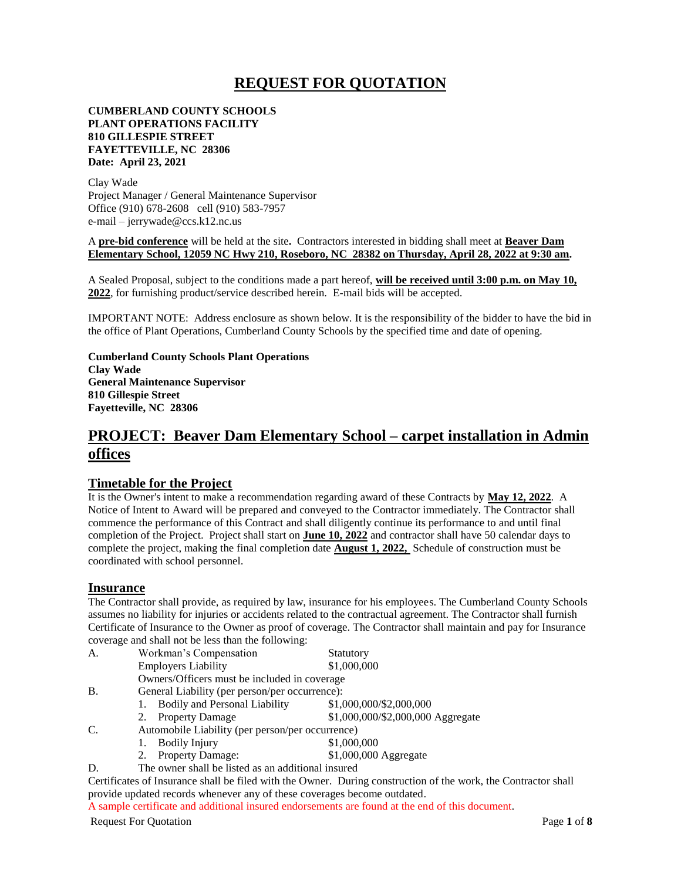## **REQUEST FOR QUOTATION**

#### **CUMBERLAND COUNTY SCHOOLS PLANT OPERATIONS FACILITY 810 GILLESPIE STREET FAYETTEVILLE, NC 28306 Date: April 23, 2021**

Clay Wade Project Manager / General Maintenance Supervisor Office (910) 678-2608 cell (910) 583-7957 e-mail – jerrywade@ccs.k12.nc.us

A **pre-bid conference** will be held at the site**.** Contractors interested in bidding shall meet at **Beaver Dam Elementary School, 12059 NC Hwy 210, Roseboro, NC 28382 on Thursday, April 28, 2022 at 9:30 am.**

A Sealed Proposal, subject to the conditions made a part hereof, **will be received until 3:00 p.m. on May 10, 2022**, for furnishing product/service described herein. E-mail bids will be accepted.

IMPORTANT NOTE: Address enclosure as shown below. It is the responsibility of the bidder to have the bid in the office of Plant Operations, Cumberland County Schools by the specified time and date of opening.

**Cumberland County Schools Plant Operations Clay Wade General Maintenance Supervisor 810 Gillespie Street Fayetteville, NC 28306**

## **PROJECT: Beaver Dam Elementary School – carpet installation in Admin offices**

#### **Timetable for the Project**

It is the Owner's intent to make a recommendation regarding award of these Contracts by **May 12, 2022**. A Notice of Intent to Award will be prepared and conveyed to the Contractor immediately. The Contractor shall commence the performance of this Contract and shall diligently continue its performance to and until final completion of the Project. Project shall start on **June 10, 2022** and contractor shall have 50 calendar days to complete the project, making the final completion date **August 1, 2022,** Schedule of construction must be coordinated with school personnel.

#### **Insurance**

The Contractor shall provide, as required by law, insurance for his employees. The Cumberland County Schools assumes no liability for injuries or accidents related to the contractual agreement. The Contractor shall furnish Certificate of Insurance to the Owner as proof of coverage. The Contractor shall maintain and pay for Insurance coverage and shall not be less than the following:

| А.         | Workman's Compensation                             | Statutory                         |  |  |  |  |
|------------|----------------------------------------------------|-----------------------------------|--|--|--|--|
|            | <b>Employers Liability</b>                         | \$1,000,000                       |  |  |  |  |
|            | Owners/Officers must be included in coverage       |                                   |  |  |  |  |
| <b>B</b> . | General Liability (per person/per occurrence):     |                                   |  |  |  |  |
|            | <b>Bodily and Personal Liability</b><br>1.         | \$1,000,000/\$2,000,000           |  |  |  |  |
|            | 2. Property Damage                                 | \$1,000,000/\$2,000,000 Aggregate |  |  |  |  |
| C.         | Automobile Liability (per person/per occurrence)   |                                   |  |  |  |  |
|            | <b>Bodily Injury</b><br>1.                         | \$1,000,000                       |  |  |  |  |
|            | Property Damage:                                   | \$1,000,000 Aggregate             |  |  |  |  |
| D          | The owner shall be listed as an additional insured |                                   |  |  |  |  |

Certificates of Insurance shall be filed with the Owner. During construction of the work, the Contractor shall provide updated records whenever any of these coverages become outdated.

A sample certificate and additional insured endorsements are found at the end of this document.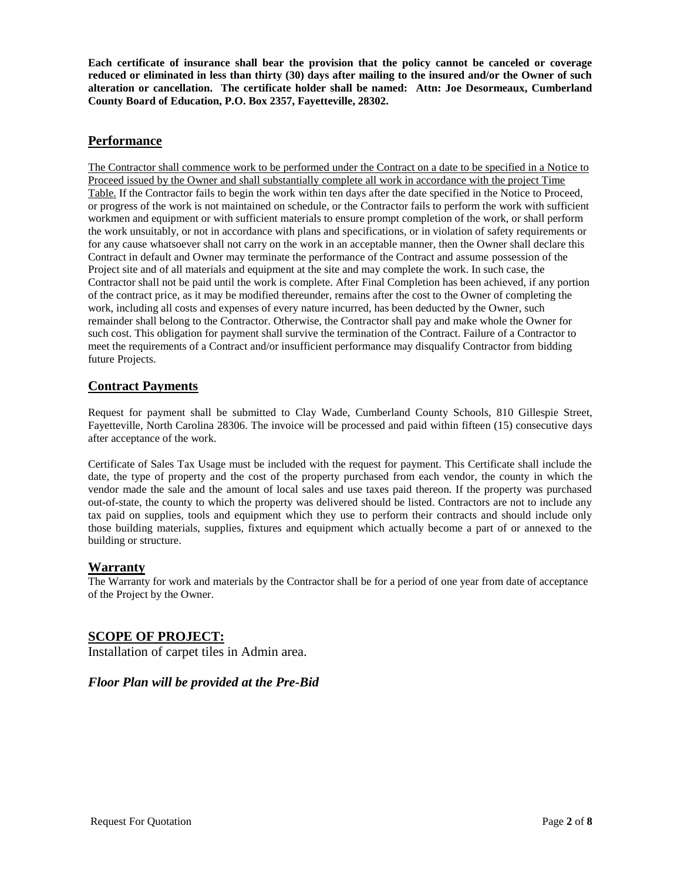**Each certificate of insurance shall bear the provision that the policy cannot be canceled or coverage reduced or eliminated in less than thirty (30) days after mailing to the insured and/or the Owner of such alteration or cancellation. The certificate holder shall be named: Attn: Joe Desormeaux, Cumberland County Board of Education, P.O. Box 2357, Fayetteville, 28302.** 

## **Performance**

The Contractor shall commence work to be performed under the Contract on a date to be specified in a Notice to Proceed issued by the Owner and shall substantially complete all work in accordance with the project Time Table. If the Contractor fails to begin the work within ten days after the date specified in the Notice to Proceed, or progress of the work is not maintained on schedule, or the Contractor fails to perform the work with sufficient workmen and equipment or with sufficient materials to ensure prompt completion of the work, or shall perform the work unsuitably, or not in accordance with plans and specifications, or in violation of safety requirements or for any cause whatsoever shall not carry on the work in an acceptable manner, then the Owner shall declare this Contract in default and Owner may terminate the performance of the Contract and assume possession of the Project site and of all materials and equipment at the site and may complete the work. In such case, the Contractor shall not be paid until the work is complete. After Final Completion has been achieved, if any portion of the contract price, as it may be modified thereunder, remains after the cost to the Owner of completing the work, including all costs and expenses of every nature incurred, has been deducted by the Owner, such remainder shall belong to the Contractor. Otherwise, the Contractor shall pay and make whole the Owner for such cost. This obligation for payment shall survive the termination of the Contract. Failure of a Contractor to meet the requirements of a Contract and/or insufficient performance may disqualify Contractor from bidding future Projects.

## **Contract Payments**

Request for payment shall be submitted to Clay Wade, Cumberland County Schools, 810 Gillespie Street, Fayetteville, North Carolina 28306. The invoice will be processed and paid within fifteen (15) consecutive days after acceptance of the work.

Certificate of Sales Tax Usage must be included with the request for payment. This Certificate shall include the date, the type of property and the cost of the property purchased from each vendor, the county in which the vendor made the sale and the amount of local sales and use taxes paid thereon. If the property was purchased out-of-state, the county to which the property was delivered should be listed. Contractors are not to include any tax paid on supplies, tools and equipment which they use to perform their contracts and should include only those building materials, supplies, fixtures and equipment which actually become a part of or annexed to the building or structure.

## **Warranty**

The Warranty for work and materials by the Contractor shall be for a period of one year from date of acceptance of the Project by the Owner.

## **SCOPE OF PROJECT:**

Installation of carpet tiles in Admin area.

## *Floor Plan will be provided at the Pre-Bid*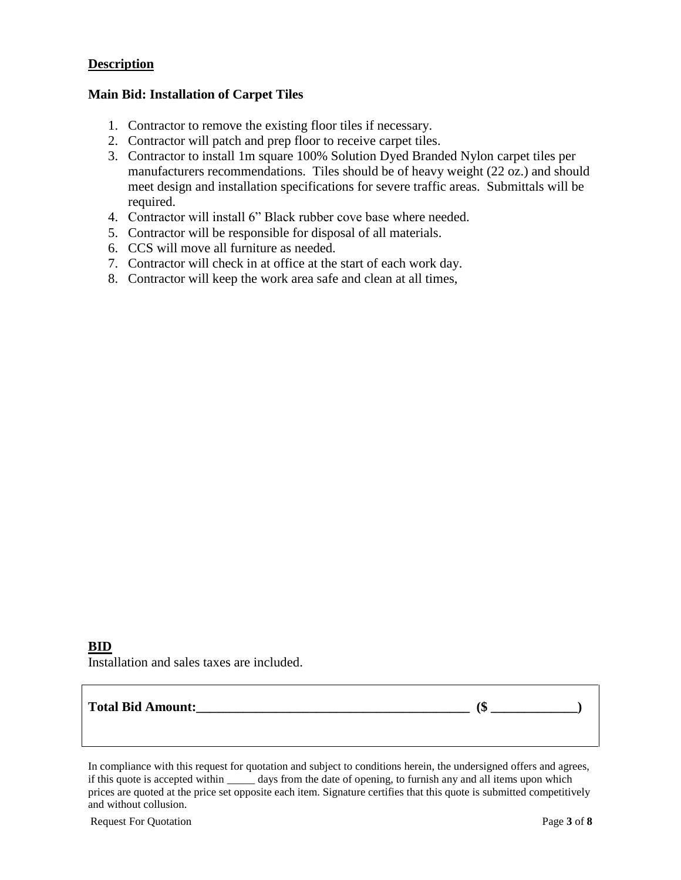## **Description**

## **Main Bid: Installation of Carpet Tiles**

- 1. Contractor to remove the existing floor tiles if necessary.
- 2. Contractor will patch and prep floor to receive carpet tiles.
- 3. Contractor to install 1m square 100% Solution Dyed Branded Nylon carpet tiles per manufacturers recommendations. Tiles should be of heavy weight (22 oz.) and should meet design and installation specifications for severe traffic areas. Submittals will be required.
- 4. Contractor will install 6" Black rubber cove base where needed.
- 5. Contractor will be responsible for disposal of all materials.
- 6. CCS will move all furniture as needed.
- 7. Contractor will check in at office at the start of each work day.
- 8. Contractor will keep the work area safe and clean at all times,

## **BID**

Installation and sales taxes are included.

## **Total Bid Amount:\_\_\_\_\_\_\_\_\_\_\_\_\_\_\_\_\_\_\_\_\_\_\_\_\_\_\_\_\_\_\_\_\_\_\_\_\_\_\_\_\_ (\$ \_\_\_\_\_\_\_\_\_\_\_\_\_)**

In compliance with this request for quotation and subject to conditions herein, the undersigned offers and agrees, if this quote is accepted within \_\_\_\_\_ days from the date of opening, to furnish any and all items upon which prices are quoted at the price set opposite each item. Signature certifies that this quote is submitted competitively and without collusion.

Request For Quotation Page **3** of **8**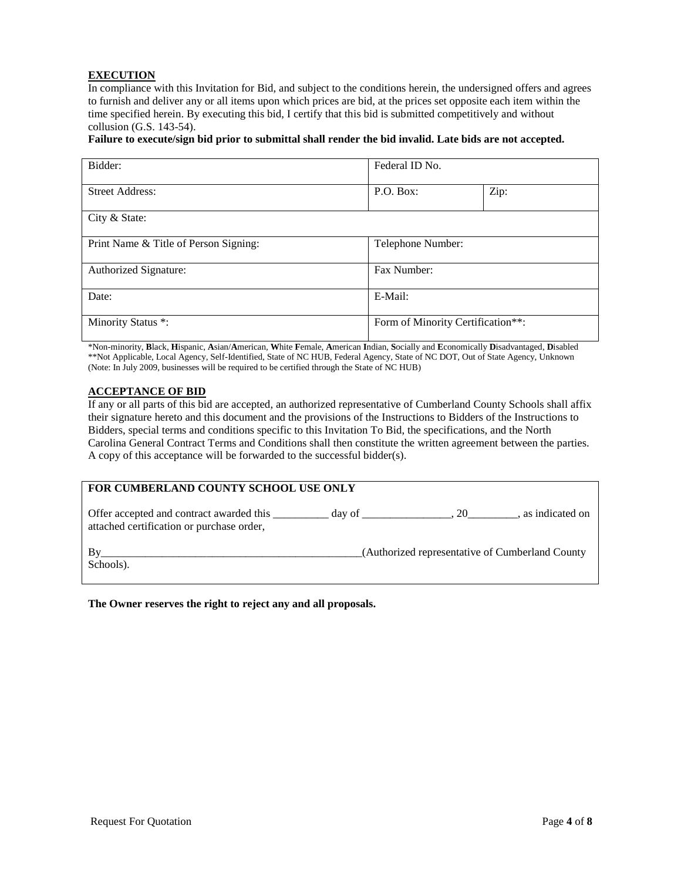#### **EXECUTION**

In compliance with this Invitation for Bid, and subject to the conditions herein, the undersigned offers and agrees to furnish and deliver any or all items upon which prices are bid, at the prices set opposite each item within the time specified herein. By executing this bid, I certify that this bid is submitted competitively and without collusion (G.S. 143-54).

#### **Failure to execute/sign bid prior to submittal shall render the bid invalid. Late bids are not accepted.**

| Bidder:                               | Federal ID No.                    |      |  |  |
|---------------------------------------|-----------------------------------|------|--|--|
| <b>Street Address:</b>                | P.O. Box:                         | Zip: |  |  |
| City & State:                         |                                   |      |  |  |
| Print Name & Title of Person Signing: | Telephone Number:                 |      |  |  |
| Authorized Signature:                 | Fax Number:                       |      |  |  |
| Date:                                 | E-Mail:                           |      |  |  |
| Minority Status *:                    | Form of Minority Certification**: |      |  |  |

\*Non-minority, **B**lack, **H**ispanic, **A**sian/**A**merican, **W**hite **F**emale, **A**merican **I**ndian, **S**ocially and **E**conomically **D**isadvantaged, **D**isabled \*\*Not Applicable, Local Agency, Self-Identified, State of NC HUB, Federal Agency, State of NC DOT, Out of State Agency, Unknown (Note: In July 2009, businesses will be required to be certified through the State of NC HUB)

#### **ACCEPTANCE OF BID**

If any or all parts of this bid are accepted, an authorized representative of Cumberland County Schools shall affix their signature hereto and this document and the provisions of the Instructions to Bidders of the Instructions to Bidders, special terms and conditions specific to this Invitation To Bid, the specifications, and the North Carolina General Contract Terms and Conditions shall then constitute the written agreement between the parties. A copy of this acceptance will be forwarded to the successful bidder(s).

| FOR CUMBERLAND COUNTY SCHOOL USE ONLY                                                 |        |                                                 |                 |  |  |  |  |  |
|---------------------------------------------------------------------------------------|--------|-------------------------------------------------|-----------------|--|--|--|--|--|
| Offer accepted and contract awarded this<br>attached certification or purchase order, | day of | .20                                             | as indicated on |  |  |  |  |  |
| Schools).                                                                             |        | (Authorized representative of Cumberland County |                 |  |  |  |  |  |

#### **The Owner reserves the right to reject any and all proposals.**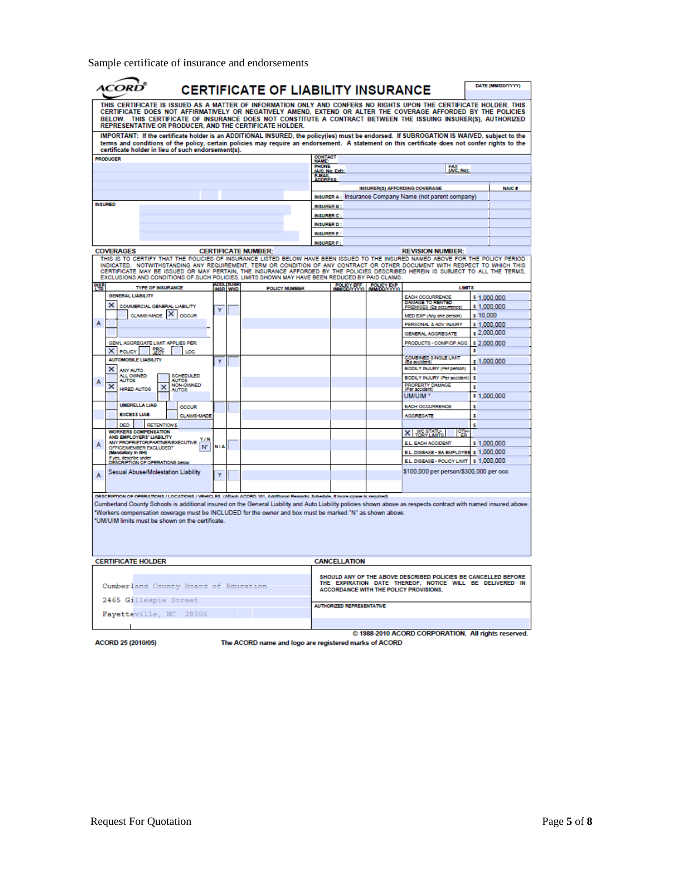Sample certificate of insurance and endorsements

|                                                                                                                                                                                                                                                                                                                                                                                                                  |                                                    |                       | <b>CERTIFICATE OF LIABILITY INSURANCE</b>                                                                                                                                                                                                                                                   |                          |                                  |            |                                                                                                    |             | DATE (MM/DD/YYYY) |
|------------------------------------------------------------------------------------------------------------------------------------------------------------------------------------------------------------------------------------------------------------------------------------------------------------------------------------------------------------------------------------------------------------------|----------------------------------------------------|-----------------------|---------------------------------------------------------------------------------------------------------------------------------------------------------------------------------------------------------------------------------------------------------------------------------------------|--------------------------|----------------------------------|------------|----------------------------------------------------------------------------------------------------|-------------|-------------------|
| THIS CERTIFICATE IS ISSUED AS A MATTER OF INFORMATION ONLY AND CONFERS NO RIGHTS UPON THE CERTIFICATE HOLDER. THIS<br>CERTIFICATE DOES NOT AFFIRMATIVELY OR NEGATIVELY AMEND, EXTEND OR ALTER THE COVERAGE AFFORDED BY THE POLICIES<br>BELOW. THIS CERTIFICATE OF INSURANCE DOES NOT CONSTITUTE A CONTRACT BETWEEN THE ISSUING INSURER(S), AUTHORIZED<br>REPRESENTATIVE OR PRODUCER. AND THE CERTIFICATE HOLDER. |                                                    |                       |                                                                                                                                                                                                                                                                                             |                          |                                  |            |                                                                                                    |             |                   |
|                                                                                                                                                                                                                                                                                                                                                                                                                  | certificate holder in lieu of such endorsement(s). |                       | IMPORTANT: If the certificate holder is an ADDITIONAL INSURED, the policy(ies) must be endorsed. If SUBROGATION IS WAIVED, subject to the<br>terms and conditions of the policy, certain policies may require an endorsement. A statement on this certificate does not confer rights to the |                          |                                  |            |                                                                                                    |             |                   |
| <b>PRODUCER</b>                                                                                                                                                                                                                                                                                                                                                                                                  |                                                    |                       |                                                                                                                                                                                                                                                                                             | <b>CONTACT</b><br>NAME:  |                                  |            |                                                                                                    |             |                   |
|                                                                                                                                                                                                                                                                                                                                                                                                                  |                                                    |                       |                                                                                                                                                                                                                                                                                             | PHONE<br>(A/C, No. Ext): |                                  |            | FAX, No):                                                                                          |             |                   |
|                                                                                                                                                                                                                                                                                                                                                                                                                  |                                                    |                       |                                                                                                                                                                                                                                                                                             | <b>E-MAIL</b><br>DORESS: |                                  |            |                                                                                                    |             |                   |
|                                                                                                                                                                                                                                                                                                                                                                                                                  |                                                    |                       |                                                                                                                                                                                                                                                                                             |                          |                                  |            | INSURER(3) AFFORDING COVERAGE                                                                      |             | <b>NAIC#</b>      |
|                                                                                                                                                                                                                                                                                                                                                                                                                  |                                                    |                       |                                                                                                                                                                                                                                                                                             |                          |                                  |            | INSURER A: Insurance Company Name (not parent company)                                             |             |                   |
| <b>INSURFD</b>                                                                                                                                                                                                                                                                                                                                                                                                   |                                                    |                       |                                                                                                                                                                                                                                                                                             | <b>INSURER B</b>         |                                  |            |                                                                                                    |             |                   |
|                                                                                                                                                                                                                                                                                                                                                                                                                  |                                                    |                       |                                                                                                                                                                                                                                                                                             | <b>INSURER C:</b>        |                                  |            |                                                                                                    |             |                   |
|                                                                                                                                                                                                                                                                                                                                                                                                                  |                                                    |                       |                                                                                                                                                                                                                                                                                             | <b>INSURER D:</b>        |                                  |            |                                                                                                    |             |                   |
|                                                                                                                                                                                                                                                                                                                                                                                                                  |                                                    |                       |                                                                                                                                                                                                                                                                                             | <b>INSURER E</b>         |                                  |            |                                                                                                    |             |                   |
|                                                                                                                                                                                                                                                                                                                                                                                                                  |                                                    |                       |                                                                                                                                                                                                                                                                                             | <b>INSURER F:</b>        |                                  |            |                                                                                                    |             |                   |
| <b>COVERAGES</b>                                                                                                                                                                                                                                                                                                                                                                                                 |                                                    |                       | <b>CERTIFICATE NUMBER:</b>                                                                                                                                                                                                                                                                  |                          |                                  |            | <b>REVISION NUMBER:</b>                                                                            |             |                   |
|                                                                                                                                                                                                                                                                                                                                                                                                                  |                                                    |                       | THIS IS TO CERTIFY THAT THE POLICIES OF INSURANCE LISTED BELOW HAVE BEEN ISSUED TO THE INSURED NAMED ABOVE FOR THE POLICY PERIOD                                                                                                                                                            |                          |                                  |            |                                                                                                    |             |                   |
|                                                                                                                                                                                                                                                                                                                                                                                                                  |                                                    |                       | INDICATED. NOTWITHSTANDING ANY REQUIREMENT, TERM OR CONDITION OF ANY CONTRACT OR OTHER DOCUMENT WITH RESPECT TO WHICH THIS<br>CERTIFICATE MAY BE ISSUED OR MAY PERTAIN, THE INSURANCE AFFORDED BY THE POLICIES DESCRIBED HEREIN IS SUBJECT TO ALL THE TERMS,                                |                          |                                  |            |                                                                                                    |             |                   |
|                                                                                                                                                                                                                                                                                                                                                                                                                  |                                                    |                       | EXCLUSIONS AND CONDITIONS OF SUCH POLICIES, LIMITS SHOWN MAY HAVE BEEN REDUCED BY PAID CLAIMS.                                                                                                                                                                                              |                          |                                  |            |                                                                                                    |             |                   |
| <b>INSR</b>                                                                                                                                                                                                                                                                                                                                                                                                      | <b>TYPE OF INSURANCE</b>                           | ADDL SUBR<br>INSR_WVD | <b>POLICY NUMBER</b>                                                                                                                                                                                                                                                                        |                          | POLICY EFF.                      | POLICY EXP | LIMIT <sub>8</sub>                                                                                 |             |                   |
| <b>GENERAL LIABILITY</b>                                                                                                                                                                                                                                                                                                                                                                                         |                                                    |                       |                                                                                                                                                                                                                                                                                             |                          |                                  |            | EACH OCCURRENCE                                                                                    | \$1,000,000 |                   |
| ×                                                                                                                                                                                                                                                                                                                                                                                                                | COMMERCIAL GENERAL LIABILITY                       |                       |                                                                                                                                                                                                                                                                                             |                          |                                  |            | <b>DAMAGE TO RENTED</b><br>PREMISES (Ea occurrence)                                                | \$1,000,000 |                   |
|                                                                                                                                                                                                                                                                                                                                                                                                                  | CLAMS-MADE X OCCUR                                 | Ÿ                     |                                                                                                                                                                                                                                                                                             |                          |                                  |            | MED EXP (Any one person)                                                                           | \$10,000    |                   |
| A                                                                                                                                                                                                                                                                                                                                                                                                                |                                                    |                       |                                                                                                                                                                                                                                                                                             |                          |                                  |            | PERSONAL & ADV INJURY                                                                              | \$1,000,000 |                   |
|                                                                                                                                                                                                                                                                                                                                                                                                                  |                                                    |                       |                                                                                                                                                                                                                                                                                             |                          |                                  |            | <b>GENERAL AGGREGATE</b>                                                                           | \$2,000,000 |                   |
|                                                                                                                                                                                                                                                                                                                                                                                                                  | GEN'L AGGREGATE LIMIT APPLIES PER:                 |                       |                                                                                                                                                                                                                                                                                             |                          |                                  |            | PRODUCTS - COMP/OP AGG                                                                             | \$2,000,000 |                   |
| X POLICY                                                                                                                                                                                                                                                                                                                                                                                                         | <b>FRO</b><br>LOC                                  |                       |                                                                                                                                                                                                                                                                                             |                          |                                  |            |                                                                                                    | \$          |                   |
| <b>AUTOMOBILE LIABILITY</b>                                                                                                                                                                                                                                                                                                                                                                                      |                                                    | Ÿ                     |                                                                                                                                                                                                                                                                                             |                          |                                  |            | COMBINED SINGLE LIMIT<br>(Ea accident)                                                             | \$1,000,000 |                   |
| ×<br><b>ANY AUTO</b>                                                                                                                                                                                                                                                                                                                                                                                             |                                                    |                       |                                                                                                                                                                                                                                                                                             |                          |                                  |            | BODILY INJURY (Per person)                                                                         | s           |                   |
| ALL OWNED<br><b>AUTOS</b>                                                                                                                                                                                                                                                                                                                                                                                        | SCHEDULED<br><b>AUTOS</b>                          |                       |                                                                                                                                                                                                                                                                                             |                          |                                  |            | BODILY INJURY (Per accident)                                                                       | s           |                   |
| А<br>$\times$<br><b>HIRED AUTOS</b>                                                                                                                                                                                                                                                                                                                                                                              | <b>NON-OWNED</b><br>×<br><b>AUTOS</b>              |                       |                                                                                                                                                                                                                                                                                             |                          |                                  |            | PROPERTY DAMAGE<br>(Per acciden                                                                    | s           |                   |
|                                                                                                                                                                                                                                                                                                                                                                                                                  |                                                    |                       |                                                                                                                                                                                                                                                                                             |                          |                                  |            | UM/UIM <sup>*</sup>                                                                                | \$1,000,000 |                   |
| <b>UMBRELLA LIAB</b>                                                                                                                                                                                                                                                                                                                                                                                             | <b>OCCUR</b>                                       |                       |                                                                                                                                                                                                                                                                                             |                          |                                  |            | <b>EACH OCCURRENCE</b>                                                                             | \$          |                   |
| <b>EXCESS LIAB</b>                                                                                                                                                                                                                                                                                                                                                                                               | <b>CLAIMS-MADE</b>                                 |                       |                                                                                                                                                                                                                                                                                             |                          |                                  |            | <b>AGGREGATE</b>                                                                                   | Ş           |                   |
| <b>DED</b>                                                                                                                                                                                                                                                                                                                                                                                                       | <b>RETENTION \$</b>                                |                       |                                                                                                                                                                                                                                                                                             |                          |                                  |            |                                                                                                    | s           |                   |
| <b>WORKERS COMPENSATION</b>                                                                                                                                                                                                                                                                                                                                                                                      |                                                    |                       |                                                                                                                                                                                                                                                                                             |                          |                                  |            | X WC STATU-                                                                                        |             |                   |
| AND EMPLOYERS' LIABILITY<br>А                                                                                                                                                                                                                                                                                                                                                                                    | Y/N<br>ANY PROPRIETOR/PARTNER/EXECUTIVE            |                       |                                                                                                                                                                                                                                                                                             |                          |                                  |            | E.L. EACH ACCIDENT                                                                                 | \$1.000.000 |                   |
| OFFICEMEMBER EXCLUDED?<br>(Mandatory In NH)                                                                                                                                                                                                                                                                                                                                                                      | N°                                                 | <b>N/A</b>            |                                                                                                                                                                                                                                                                                             |                          |                                  |            | E.L. DISEASE - EA EMPLOYEE \$ 1,000,000                                                            |             |                   |
| f yes, describe und                                                                                                                                                                                                                                                                                                                                                                                              | DESCRIPTION OF OPERATIONS below                    |                       |                                                                                                                                                                                                                                                                                             |                          |                                  |            | EL. DISEASE - POLICY LIMIT \$ 1,000,000                                                            |             |                   |
|                                                                                                                                                                                                                                                                                                                                                                                                                  | Sexual Abuse/Molestation Liability                 |                       |                                                                                                                                                                                                                                                                                             |                          |                                  |            | \$100,000 per person/\$300,000 per occ                                                             |             |                   |
| A                                                                                                                                                                                                                                                                                                                                                                                                                |                                                    | Ÿ                     |                                                                                                                                                                                                                                                                                             |                          |                                  |            |                                                                                                    |             |                   |
|                                                                                                                                                                                                                                                                                                                                                                                                                  |                                                    |                       |                                                                                                                                                                                                                                                                                             |                          |                                  |            |                                                                                                    |             |                   |
|                                                                                                                                                                                                                                                                                                                                                                                                                  |                                                    |                       | DESCRIPTION OF OPERATIONS / LOCATIONS / VEHICLES /Affach ACORD 101, Additional Remarks Schedule, if more space is required)                                                                                                                                                                 |                          |                                  |            |                                                                                                    |             |                   |
|                                                                                                                                                                                                                                                                                                                                                                                                                  |                                                    |                       | Cumberland County Schools is additional insured on the General Liability and Auto Liability policies shown above as respects contract with named insured above.                                                                                                                             |                          |                                  |            |                                                                                                    |             |                   |
|                                                                                                                                                                                                                                                                                                                                                                                                                  |                                                    |                       | "Workers compensation coverage must be INCLUDED for the owner and box must be marked "N" as shown above.                                                                                                                                                                                    |                          |                                  |            |                                                                                                    |             |                   |
|                                                                                                                                                                                                                                                                                                                                                                                                                  | 'UM/UIM limits must be shown on the certificate.   |                       |                                                                                                                                                                                                                                                                                             |                          |                                  |            |                                                                                                    |             |                   |
|                                                                                                                                                                                                                                                                                                                                                                                                                  |                                                    |                       |                                                                                                                                                                                                                                                                                             |                          |                                  |            |                                                                                                    |             |                   |
|                                                                                                                                                                                                                                                                                                                                                                                                                  |                                                    |                       |                                                                                                                                                                                                                                                                                             |                          |                                  |            |                                                                                                    |             |                   |
|                                                                                                                                                                                                                                                                                                                                                                                                                  |                                                    |                       |                                                                                                                                                                                                                                                                                             |                          |                                  |            |                                                                                                    |             |                   |
| <b>CERTIFICATE HOLDER</b>                                                                                                                                                                                                                                                                                                                                                                                        |                                                    |                       |                                                                                                                                                                                                                                                                                             |                          | <b>CANCELLATION</b>              |            |                                                                                                    |             |                   |
|                                                                                                                                                                                                                                                                                                                                                                                                                  |                                                    |                       |                                                                                                                                                                                                                                                                                             |                          |                                  |            |                                                                                                    |             |                   |
|                                                                                                                                                                                                                                                                                                                                                                                                                  |                                                    |                       |                                                                                                                                                                                                                                                                                             |                          |                                  |            | SHOULD ANY OF THE ABOVE DESCRIBED POLICIES BE CANCELLED BEFORE                                     |             |                   |
|                                                                                                                                                                                                                                                                                                                                                                                                                  | Cumberland County Board of Education               |                       |                                                                                                                                                                                                                                                                                             |                          |                                  |            | THE EXPIRATION DATE THEREOF, NOTICE WILL BE DELIVERED IN<br>ACCORDANCE WITH THE POLICY PROVISIONS. |             |                   |
| 2465 Gillespie Street                                                                                                                                                                                                                                                                                                                                                                                            |                                                    |                       |                                                                                                                                                                                                                                                                                             |                          | <b>AUTHORIZED REPRESENTATIVE</b> |            |                                                                                                    |             |                   |
|                                                                                                                                                                                                                                                                                                                                                                                                                  | Fayetteville, NC 28306                             |                       |                                                                                                                                                                                                                                                                                             |                          |                                  |            |                                                                                                    |             |                   |
|                                                                                                                                                                                                                                                                                                                                                                                                                  |                                                    |                       |                                                                                                                                                                                                                                                                                             |                          |                                  |            | @ 1988-2010 ACORD CORPORATION. All rights reserved.                                                |             |                   |
|                                                                                                                                                                                                                                                                                                                                                                                                                  |                                                    |                       |                                                                                                                                                                                                                                                                                             |                          |                                  |            |                                                                                                    |             |                   |

ACORD 25 (2010/05)

The ACORD name and logo are registered marks of ACORD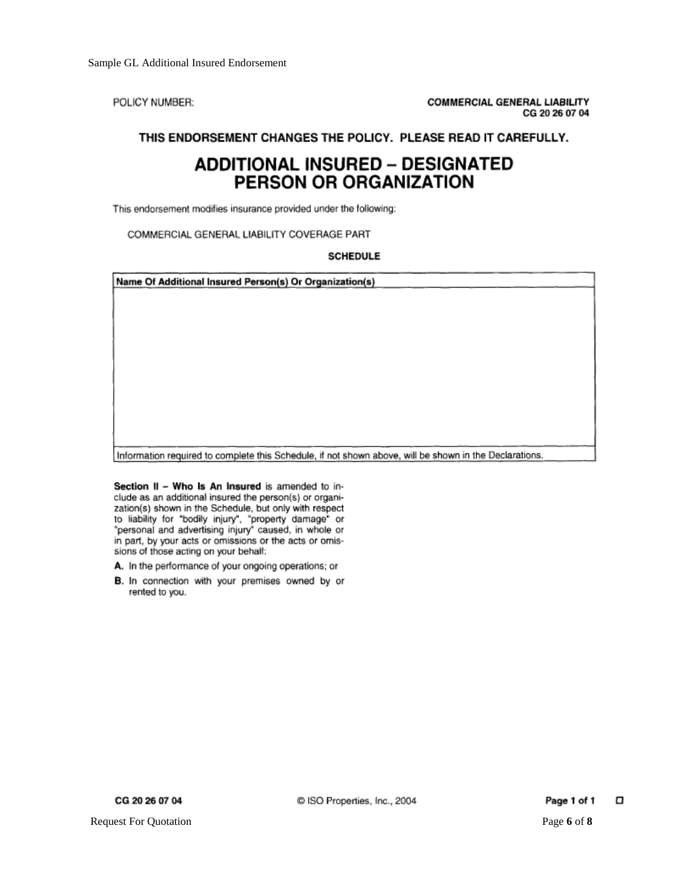POLICY NUMBER:

## THIS ENDORSEMENT CHANGES THE POLICY. PLEASE READ IT CAREFULLY.

# **ADDITIONAL INSURED - DESIGNATED** PERSON OR ORGANIZATION

This endorsement modifies insurance provided under the following:

COMMERCIAL GENERAL LIABILITY COVERAGE PART

#### **SCHEDULE**

Name Of Additional Insured Person(s) Or Organization(s)

Information required to complete this Schedule, if not shown above, will be shown in the Declarations.

Section II - Who Is An Insured is amended to include as an additional insured the person(s) or organization(s) shown in the Schedule, but only with respect to liability for "bodily injury", "property damage" or "personal and advertising injury" caused, in whole or in part, by your acts or omissions or the acts or omissions of those acting on your behalf:

A. In the performance of your ongoing operations; or

B. In connection with your premises owned by or rented to you.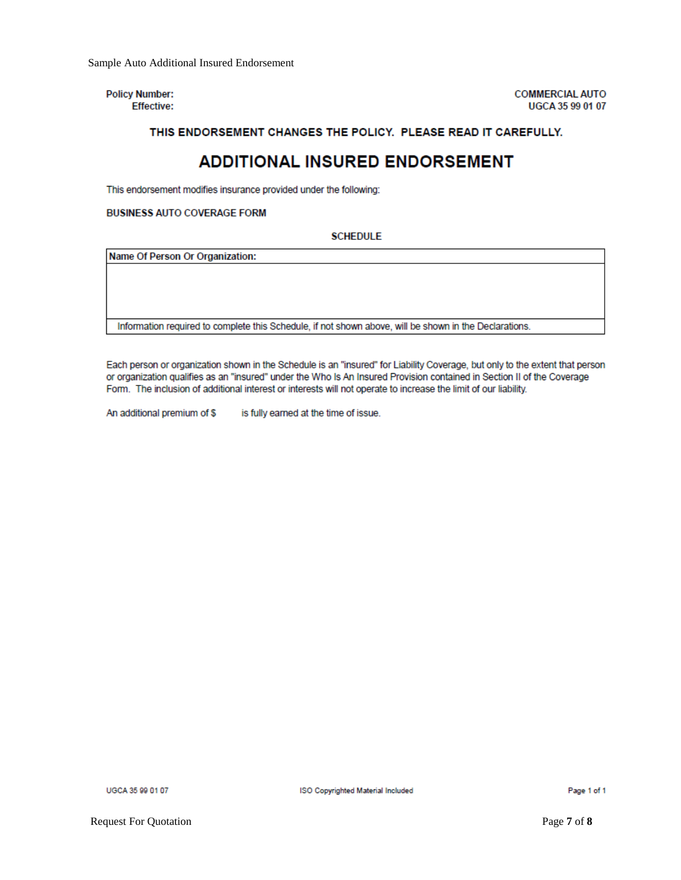**Policy Number: Effective:**  **COMMERCIAL AUTO** UGCA 35 99 01 07

#### THIS ENDORSEMENT CHANGES THE POLICY. PLEASE READ IT CAREFULLY.

# **ADDITIONAL INSURED ENDORSEMENT**

This endorsement modifies insurance provided under the following:

#### **BUSINESS AUTO COVERAGE FORM**

#### **SCHEDULE**

Name Of Person Or Organization:

Information required to complete this Schedule, if not shown above, will be shown in the Declarations.

Each person or organization shown in the Schedule is an "insured" for Liability Coverage, but only to the extent that person or organization qualifies as an "insured" under the Who Is An Insured Provision contained in Section II of the Coverage Form. The inclusion of additional interest or interests will not operate to increase the limit of our liability.

An additional premium of \$ is fully earned at the time of issue.

UGCA 35 99 01 07